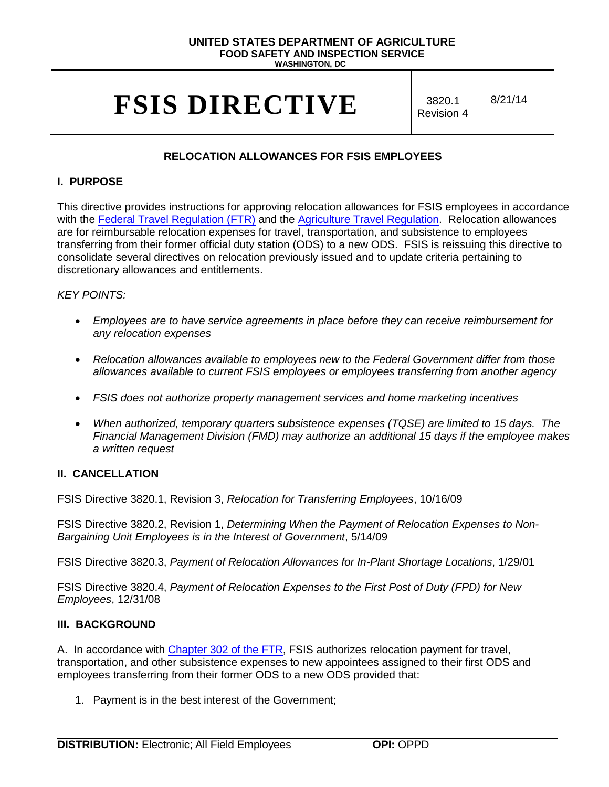## **UNITED STATES DEPARTMENT OF AGRICULTURE FOOD SAFETY AND INSPECTION SERVICE WASHINGTON, DC**

# **FSIS DIRECTIVE** S820.1

Revision 4

8/21/14

## **RELOCATION ALLOWANCES FOR FSIS EMPLOYEES**

### **I. PURPOSE**

This directive provides instructions for approving relocation allowances for FSIS employees in accordance with the [Federal Travel Regulation \(FTR\)](http://www.gsa.gov/portal/ext/public/site/FTR/file/FTR302TOC.html/category/21869/hostUri/portal) and the [Agriculture Travel Regulation.](http://www.ocio.usda.gov/sites/default/files/docs/2012/DM%202300-001_061510.pdf) Relocation allowances are for reimbursable relocation expenses for travel, transportation, and subsistence to employees transferring from their former official duty station (ODS) to a new ODS. FSIS is reissuing this directive to consolidate several directives on relocation previously issued and to update criteria pertaining to discretionary allowances and entitlements.

## *KEY POINTS:*

- *Employees are to have service agreements in place before they can receive reimbursement for any relocation expenses*
- *Relocation allowances available to employees new to the Federal Government differ from those allowances available to current FSIS employees or employees transferring from another agency*
- *FSIS does not authorize property management services and home marketing incentives*
- *When authorized, temporary quarters subsistence expenses (TQSE) are limited to 15 days. The Financial Management Division (FMD) may authorize an additional 15 days if the employee makes a written request*

#### **II. CANCELLATION**

FSIS Directive 3820.1, Revision 3, *Relocation for Transferring Employees*, 10/16/09

FSIS Directive 3820.2, Revision 1, *Determining When the Payment of Relocation Expenses to Non-Bargaining Unit Employees is in the Interest of Government*, 5/14/09

FSIS Directive 3820.3, *Payment of Relocation Allowances for In-Plant Shortage Locations*, 1/29/01

FSIS Directive 3820.4, *Payment of Relocation Expenses to the First Post of Duty (FPD) for New Employees*, 12/31/08

#### **III. BACKGROUND**

A. In accordance with [Chapter 302 of the FTR,](http://www.gsa.gov/portal/ext/public/site/FTR/file/FTR302TOC.html/category/21869/hostUri/portal) FSIS authorizes relocation payment for travel, transportation, and other subsistence expenses to new appointees assigned to their first ODS and employees transferring from their former ODS to a new ODS provided that:

1. Payment is in the best interest of the Government;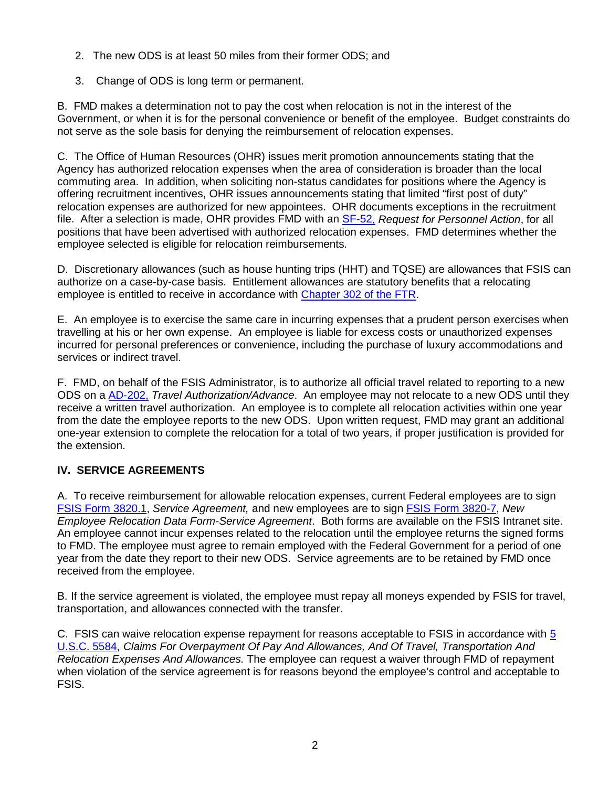- 2. The new ODS is at least 50 miles from their former ODS; and
- 3. Change of ODS is long term or permanent.

B. FMD makes a determination not to pay the cost when relocation is not in the interest of the Government, or when it is for the personal convenience or benefit of the employee. Budget constraints do not serve as the sole basis for denying the reimbursement of relocation expenses.

C. The Office of Human Resources (OHR) issues merit promotion announcements stating that the Agency has authorized relocation expenses when the area of consideration is broader than the local commuting area. In addition, when soliciting non-status candidates for positions where the Agency is offering recruitment incentives, OHR issues announcements stating that limited "first post of duty" relocation expenses are authorized for new appointees. OHR documents exceptions in the recruitment file. After a selection is made, OHR provides FMD with an [SF-52,](http://www.opm.gov/forms/pdf_fill/sf52.pdf) *Request for Personnel Action*, for all positions that have been advertised with authorized relocation expenses. FMD determines whether the employee selected is eligible for relocation reimbursements.

D. Discretionary allowances (such as house hunting trips (HHT) and TQSE) are allowances that FSIS can authorize on a case-by-case basis. Entitlement allowances are statutory benefits that a relocating employee is entitled to receive in accordance with [Chapter 302 of the FTR.](http://www.gsa.gov/portal/ext/public/site/FTR/file/FTR302TOC.html/category/21869/hostUri/portal)

E. An employee is to exercise the same care in incurring expenses that a prudent person exercises when travelling at his or her own expense. An employee is liable for excess costs or unauthorized expenses incurred for personal preferences or convenience, including the purchase of luxury accommodations and services or indirect travel.

F. FMD, on behalf of the FSIS Administrator, is to authorize all official travel related to reporting to a new ODS on a [AD-202,](https://www.nfc.usda.gov/Forms/ad202.pdf) *Travel Authorization/Advance*. An employee may not relocate to a new ODS until they receive a written travel authorization. An employee is to complete all relocation activities within one year from the date the employee reports to the new ODS. Upon written request, FMD may grant an additional one-year extension to complete the relocation for a total of two years, if proper justification is provided for the extension.

## **IV. SERVICE AGREEMENTS**

A. To receive reimbursement for allowable relocation expenses, current Federal employees are to sign [FSIS Form 3820.1,](https://inside.fsis.usda.gov/fsis/emp/static/global/forms/formsSeriesResults.jsp) *Service Agreement,* and new employees are to sign [FSIS Form 3820-7,](https://inside.fsis.usda.gov/fsis/emp/static/global/forms/formsSeriesResults.jsp) *New Employee Relocation Data Form-Service Agreement*. Both forms are available on the FSIS Intranet site. An employee cannot incur expenses related to the relocation until the employee returns the signed forms to FMD. The employee must agree to remain employed with the Federal Government for a period of one year from the date they report to their new ODS. Service agreements are to be retained by FMD once received from the employee.

B. If the service agreement is violated, the employee must repay all moneys expended by FSIS for travel, transportation, and allowances connected with the transfer.

C. FSIS can waive relocation expense repayment for reasons acceptable to FSIS in accordance with [5](http://www.gpo.gov/fdsys/granule/USCODE-2011-title5/USCODE-2011-title5-partIII-subpartD-chap55-subchapVIII-sec5584)  [U.S.C. 5584,](http://www.gpo.gov/fdsys/granule/USCODE-2011-title5/USCODE-2011-title5-partIII-subpartD-chap55-subchapVIII-sec5584) *Claims For Overpayment Of Pay And Allowances, And Of Travel, Transportation And Relocation Expenses And Allowances.* The employee can request a waiver through FMD of repayment when violation of the service agreement is for reasons beyond the employee's control and acceptable to FSIS.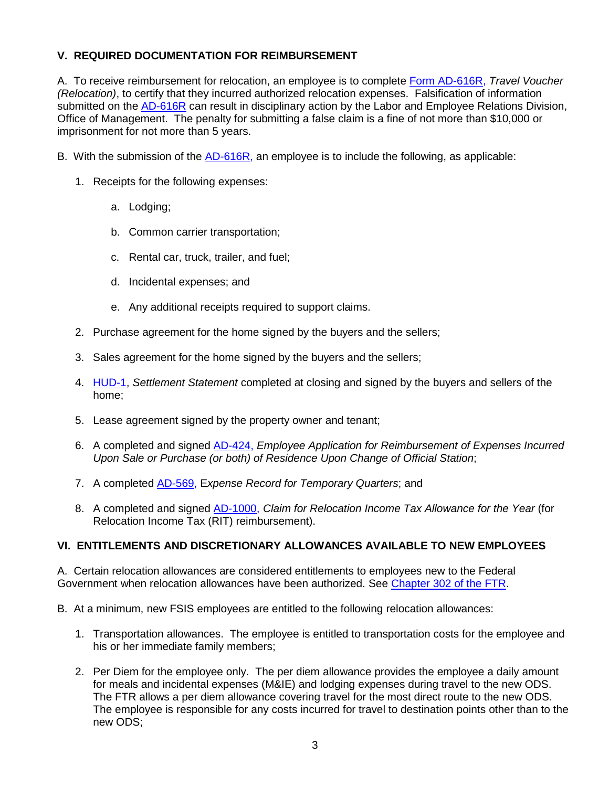## **V. REQUIRED DOCUMENTATION FOR REIMBURSEMENT**

A. To receive reimbursement for relocation, an employee is to complete [Form AD-616R,](https://www.nfc.usda.gov/Forms/ad616r.pdf) *Travel Voucher (Relocation)*, to certify that they incurred authorized relocation expenses. Falsification of information submitted on the [AD-616R](https://www.nfc.usda.gov/Forms/ad616r.pdf) can result in disciplinary action by the Labor and Employee Relations Division, Office of Management. The penalty for submitting a false claim is a fine of not more than \$10,000 or imprisonment for not more than 5 years.

- B. With the submission of the [AD-616R,](https://www.nfc.usda.gov/Forms/ad616r.pdf) an employee is to include the following, as applicable:
	- 1. Receipts for the following expenses:
		- a. Lodging;
		- b. Common carrier transportation;
		- c. Rental car, truck, trailer, and fuel;
		- d. Incidental expenses; and
		- e. Any additional receipts required to support claims.
	- 2. Purchase agreement for the home signed by the buyers and the sellers;
	- 3. Sales agreement for the home signed by the buyers and the sellers;
	- 4. [HUD-1,](http://www.hud.gov/offices/adm/hudclips/forms/files/1.pdf) *Settlement Statement* completed at closing and signed by the buyers and sellers of the home;
	- 5. Lease agreement signed by the property owner and tenant;
	- 6. A completed and signed [AD-424,](https://www.nfc.usda.gov/Forms/424a.pdf) *Employee Application for Reimbursement of Expenses Incurred Upon Sale or Purchase (or both) of Residence Upon Change of Official Station*;
	- 7. A completed [AD-569,](https://www.nfc.usda.gov/Forms/569a.pdf) E*xpense Record for Temporary Quarters*; and
	- 8. A completed and signed [AD-1000,](https://www.nfc.usda.gov/Forms/1000a.pdf) *Claim for Relocation Income Tax Allowance for the Year* (for Relocation Income Tax (RIT) reimbursement).

#### **VI. ENTITLEMENTS AND DISCRETIONARY ALLOWANCES AVAILABLE TO NEW EMPLOYEES**

A. Certain relocation allowances are considered entitlements to employees new to the Federal Government when relocation allowances have been authorized. See [Chapter 302 of the FTR.](http://www.gsa.gov/portal/ext/public/site/FTR/file/FTR302TOC.html/category/21869/hostUri/portal)

- B. At a minimum, new FSIS employees are entitled to the following relocation allowances:
	- 1. Transportation allowances. The employee is entitled to transportation costs for the employee and his or her immediate family members;
	- 2. Per Diem for the employee only. The per diem allowance provides the employee a daily amount for meals and incidental expenses (M&IE) and lodging expenses during travel to the new ODS. The FTR allows a per diem allowance covering travel for the most direct route to the new ODS. The employee is responsible for any costs incurred for travel to destination points other than to the new ODS;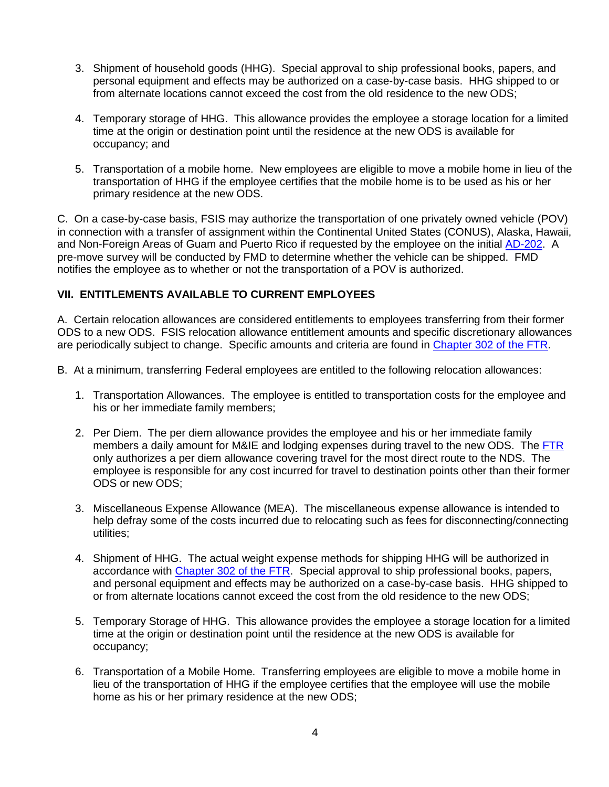- 3. Shipment of household goods (HHG). Special approval to ship professional books, papers, and personal equipment and effects may be authorized on a case-by-case basis. HHG shipped to or from alternate locations cannot exceed the cost from the old residence to the new ODS;
- 4. Temporary storage of HHG. This allowance provides the employee a storage location for a limited time at the origin or destination point until the residence at the new ODS is available for occupancy; and
- 5. Transportation of a mobile home. New employees are eligible to move a mobile home in lieu of the transportation of HHG if the employee certifies that the mobile home is to be used as his or her primary residence at the new ODS.

C. On a case-by-case basis, FSIS may authorize the transportation of one privately owned vehicle (POV) in connection with a transfer of assignment within the Continental United States (CONUS), Alaska, Hawaii, and Non-Foreign Areas of Guam and Puerto Rico if requested by the employee on the initial [AD-202.](https://www.nfc.usda.gov/Forms/ad202.pdf) A pre-move survey will be conducted by FMD to determine whether the vehicle can be shipped. FMD notifies the employee as to whether or not the transportation of a POV is authorized.

## **VII. ENTITLEMENTS AVAILABLE TO CURRENT EMPLOYEES**

A. Certain relocation allowances are considered entitlements to employees transferring from their former ODS to a new ODS. FSIS relocation allowance entitlement amounts and specific discretionary allowances are periodically subject to change. Specific amounts and criteria are found in [Chapter 302 of the FTR.](http://www.gsa.gov/portal/ext/public/site/FTR/file/FTR302TOC.html/category/21869/hostUri/portal)

- B. At a minimum, transferring Federal employees are entitled to the following relocation allowances:
	- 1. Transportation Allowances. The employee is entitled to transportation costs for the employee and his or her immediate family members;
	- 2. Per Diem. The per diem allowance provides the employee and his or her immediate family members a daily amount for M&IE and lodging expenses during travel to the new ODS. The [FTR](http://www.gsa.gov/portal/ext/public/site/FTR/file/FTR302TOC.html/category/21869/hostUri/portal) only authorizes a per diem allowance covering travel for the most direct route to the NDS. The employee is responsible for any cost incurred for travel to destination points other than their former ODS or new ODS;
	- 3. Miscellaneous Expense Allowance (MEA). The miscellaneous expense allowance is intended to help defray some of the costs incurred due to relocating such as fees for disconnecting/connecting utilities;
	- 4. Shipment of HHG. The actual weight expense methods for shipping HHG will be authorized in accordance with [Chapter 302 of the FTR.](http://www.gsa.gov/portal/ext/public/site/FTR/file/FTR302TOC.html/category/21869/hostUri/portal) Special approval to ship professional books, papers, and personal equipment and effects may be authorized on a case-by-case basis. HHG shipped to or from alternate locations cannot exceed the cost from the old residence to the new ODS;
	- 5. Temporary Storage of HHG. This allowance provides the employee a storage location for a limited time at the origin or destination point until the residence at the new ODS is available for occupancy;
	- 6. Transportation of a Mobile Home. Transferring employees are eligible to move a mobile home in lieu of the transportation of HHG if the employee certifies that the employee will use the mobile home as his or her primary residence at the new ODS;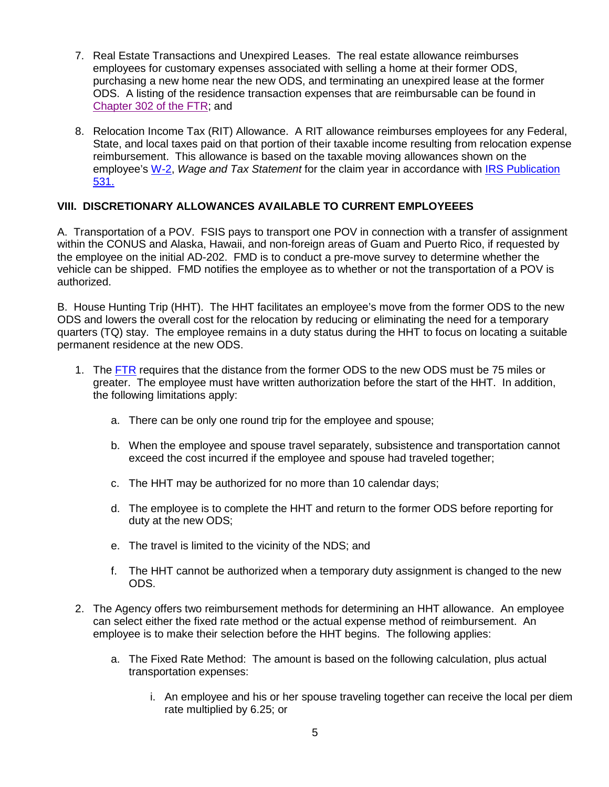- 7. Real Estate Transactions and Unexpired Leases. The real estate allowance reimburses employees for customary expenses associated with selling a home at their former ODS, purchasing a new home near the new ODS, and terminating an unexpired lease at the former ODS. A listing of the residence transaction expenses that are reimbursable can be found in [Chapter 302 of the FTR;](http://www.gsa.gov/portal/ext/public/site/FTR/file/FTR302TOC.html/category/21869/hostUri/portal) and
- 8. Relocation Income Tax (RIT) Allowance. A RIT allowance reimburses employees for any Federal, State, and local taxes paid on that portion of their taxable income resulting from relocation expense reimbursement. This allowance is based on the taxable moving allowances shown on the employee's [W-2,](http://www.irs.gov/pub/irs-pdf/fw2.pdf) *Wage and Tax Statement* for the claim year in accordance with [IRS Publication](http://www.irs.gov/pub/irs-pdf/p531.pdf)  [531.](http://www.irs.gov/pub/irs-pdf/p531.pdf)

## **VIII. DISCRETIONARY ALLOWANCES AVAILABLE TO CURRENT EMPLOYEEES**

A. Transportation of a POV. FSIS pays to transport one POV in connection with a transfer of assignment within the CONUS and Alaska, Hawaii, and non-foreign areas of Guam and Puerto Rico, if requested by the employee on the initial AD-202. FMD is to conduct a pre-move survey to determine whether the vehicle can be shipped. FMD notifies the employee as to whether or not the transportation of a POV is authorized.

B. House Hunting Trip (HHT). The HHT facilitates an employee's move from the former ODS to the new ODS and lowers the overall cost for the relocation by reducing or eliminating the need for a temporary quarters (TQ) stay. The employee remains in a duty status during the HHT to focus on locating a suitable permanent residence at the new ODS.

- 1. The [FTR](http://www.gsa.gov/portal/ext/public/site/FTR/file/FTR302TOC.html/category/21869/hostUri/portal) requires that the distance from the former ODS to the new ODS must be 75 miles or greater. The employee must have written authorization before the start of the HHT. In addition, the following limitations apply:
	- a. There can be only one round trip for the employee and spouse;
	- b. When the employee and spouse travel separately, subsistence and transportation cannot exceed the cost incurred if the employee and spouse had traveled together;
	- c. The HHT may be authorized for no more than 10 calendar days;
	- d. The employee is to complete the HHT and return to the former ODS before reporting for duty at the new ODS;
	- e. The travel is limited to the vicinity of the NDS; and
	- f. The HHT cannot be authorized when a temporary duty assignment is changed to the new ODS.
- 2. The Agency offers two reimbursement methods for determining an HHT allowance. An employee can select either the fixed rate method or the actual expense method of reimbursement. An employee is to make their selection before the HHT begins. The following applies:
	- a. The Fixed Rate Method: The amount is based on the following calculation, plus actual transportation expenses:
		- i. An employee and his or her spouse traveling together can receive the local per diem rate multiplied by 6.25; or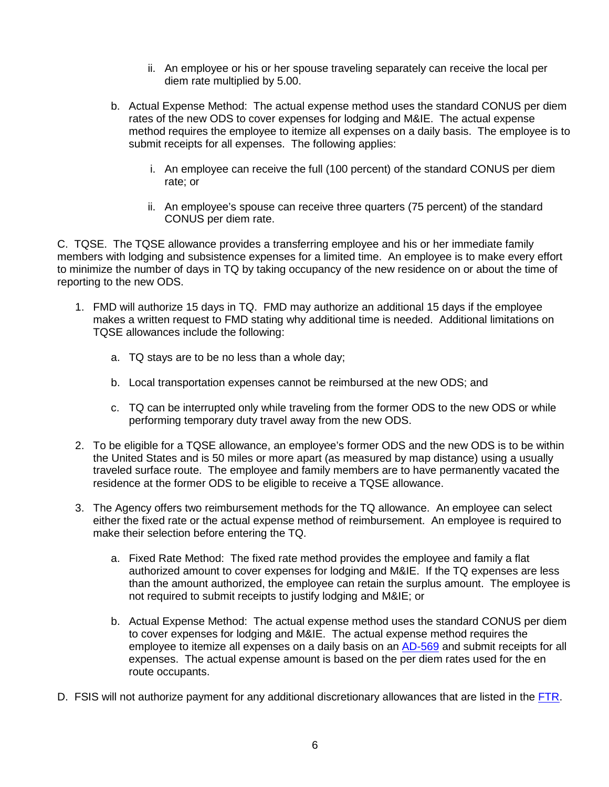- ii. An employee or his or her spouse traveling separately can receive the local per diem rate multiplied by 5.00.
- b. Actual Expense Method: The actual expense method uses the standard CONUS per diem rates of the new ODS to cover expenses for lodging and M&IE. The actual expense method requires the employee to itemize all expenses on a daily basis. The employee is to submit receipts for all expenses. The following applies:
	- i. An employee can receive the full (100 percent) of the standard CONUS per diem rate; or
	- ii. An employee's spouse can receive three quarters (75 percent) of the standard CONUS per diem rate.

C. TQSE. The TQSE allowance provides a transferring employee and his or her immediate family members with lodging and subsistence expenses for a limited time. An employee is to make every effort to minimize the number of days in TQ by taking occupancy of the new residence on or about the time of reporting to the new ODS.

- 1. FMD will authorize 15 days in TQ. FMD may authorize an additional 15 days if the employee makes a written request to FMD stating why additional time is needed. Additional limitations on TQSE allowances include the following:
	- a. TQ stays are to be no less than a whole day;
	- b. Local transportation expenses cannot be reimbursed at the new ODS; and
	- c. TQ can be interrupted only while traveling from the former ODS to the new ODS or while performing temporary duty travel away from the new ODS.
- 2. To be eligible for a TQSE allowance, an employee's former ODS and the new ODS is to be within the United States and is 50 miles or more apart (as measured by map distance) using a usually traveled surface route. The employee and family members are to have permanently vacated the residence at the former ODS to be eligible to receive a TQSE allowance.
- 3. The Agency offers two reimbursement methods for the TQ allowance. An employee can select either the fixed rate or the actual expense method of reimbursement. An employee is required to make their selection before entering the TQ.
	- a. Fixed Rate Method: The fixed rate method provides the employee and family a flat authorized amount to cover expenses for lodging and M&IE. If the TQ expenses are less than the amount authorized, the employee can retain the surplus amount. The employee is not required to submit receipts to justify lodging and M&IE; or
	- b. Actual Expense Method: The actual expense method uses the standard CONUS per diem to cover expenses for lodging and M&IE. The actual expense method requires the employee to itemize all expenses on a daily basis on an [AD-569](https://www.nfc.usda.gov/Forms/569a.pdf) and submit receipts for all expenses. The actual expense amount is based on the per diem rates used for the en route occupants.
- D. FSIS will not authorize payment for any additional discretionary allowances that are listed in the [FTR.](http://www.gsa.gov/portal/ext/public/site/FTR/file/FTR302TOC.html/category/21869/hostUri/portal)